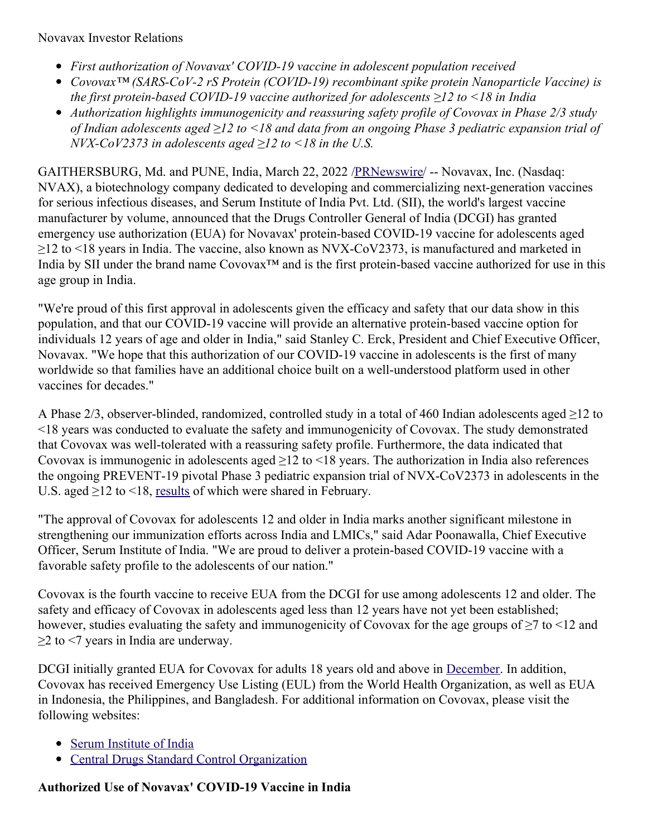- *First authorization of Novavax' COVID-19 vaccine in adolescent population received*
- *Covovax™ (SARS-CoV-2 rS Protein (COVID-19) recombinant spike protein Nanoparticle Vaccine) is the first protein-based COVID-19 vaccine authorized for adolescents ≥12 to <18 in India*
- *Authorization highlights immunogenicity and reassuring safety profile of Covovax in Phase 2/3 study* of Indian adolescents aged  $\geq$ 12 to <18 and data from an ongoing Phase 3 pediatric expansion trial of *NVX-CoV2373 in adolescents aged ≥12 to <18 in the U.S.*

GAITHERSBURG, Md. and PUNE, India, March 22, 2022 [/PRNewswire](http://www.prnewswire.com/)/ -- Novavax, Inc. (Nasdaq: NVAX), a biotechnology company dedicated to developing and commercializing next-generation vaccines for serious infectious diseases, and Serum Institute of India Pvt. Ltd. (SII), the world's largest vaccine manufacturer by volume, announced that the Drugs Controller General of India (DCGI) has granted emergency use authorization (EUA) for Novavax' protein-based COVID-19 vaccine for adolescents aged ≥12 to <18 years in India. The vaccine, also known as NVX-CoV2373, is manufactured and marketed in India by SII under the brand name Covovax™ and is the first protein-based vaccine authorized for use in this age group in India.

"We're proud of this first approval in adolescents given the efficacy and safety that our data show in this population, and that our COVID-19 vaccine will provide an alternative protein-based vaccine option for individuals 12 years of age and older in India," said Stanley C. Erck, President and Chief Executive Officer, Novavax. "We hope that this authorization of our COVID-19 vaccine in adolescents is the first of many worldwide so that families have an additional choice built on a well-understood platform used in other vaccines for decades."

A Phase 2/3, observer-blinded, randomized, controlled study in a total of 460 Indian adolescents aged ≥12 to <18 years was conducted to evaluate the safety and immunogenicity of Covovax. The study demonstrated that Covovax was well-tolerated with a reassuring safety profile. Furthermore, the data indicated that Covovax is immunogenic in adolescents aged  $\geq$ 12 to <18 years. The authorization in India also references the ongoing PREVENT-19 pivotal Phase 3 pediatric expansion trial of NVX-CoV2373 in adolescents in the U.S. aged ≥12 to <18, [results](https://c212.net/c/link/?t=0&l=en&o=3481047-1&h=118859063&u=https%3A%2F%2Fir.novavax.com%2F2022-02-10-Novavax-Announces-Positive-Results-of-COVID-19-Vaccine-in-Pediatric-Population-of-PREVENT-19-Phase-3-Clinical-Trial&a=results) of which were shared in February.

"The approval of Covovax for adolescents 12 and older in India marks another significant milestone in strengthening our immunization efforts across India and LMICs," said Adar Poonawalla, Chief Executive Officer, Serum Institute of India. "We are proud to deliver a protein-based COVID-19 vaccine with a favorable safety profile to the adolescents of our nation."

Covovax is the fourth vaccine to receive EUA from the DCGI for use among adolescents 12 and older. The safety and efficacy of Covovax in adolescents aged less than 12 years have not yet been established; however, studies evaluating the safety and immunogenicity of Covovax for the age groups of ≥7 to <12 and  $\geq$  2 to  $\leq$ 7 years in India are underway.

DCGI initially granted EUA for Covovax for adults 18 years old and above in [December](https://c212.net/c/link/?t=0&l=en&o=3481047-1&h=1374865207&u=https%3A%2F%2Fir.novavax.com%2F2021-12-28-Novavax-and-Serum-Institute-of-India-Receive-Emergency-Use-Authorization-for-COVID-19-Vaccine-in-India&a=December). In addition, Covovax has received Emergency Use Listing (EUL) from the World Health Organization, as well as EUA in Indonesia, the Philippines, and Bangladesh. For additional information on Covovax, please visit the following websites:

- Serum [Institute](https://c212.net/c/link/?t=0&l=en&o=3481047-1&h=1922873189&u=https%3A%2F%2Fwww.seruminstitute.com%2FCOVOVAX.php&a=Serum+Institute+of+India) of India
- Central Drugs Standard Control [Organization](https://c212.net/c/link/?t=0&l=en&o=3481047-1&h=4206181535&u=https%3A%2F%2Fc212.net%2Fc%2Flink%2F%3Ft%3D0%26l%3Den%26o%3D3399869-1%26h%3D2212331164%26u%3Dhttps%253A%252F%252Fcdsco.gov.in%252Fopencms%252Fopencms%252Fen%252FHome%252F%26a%3DCentral%2BDrugs%2BStandard%2BControl%2BOrganization%2B(India)&a=Central+Drugs+Standard+Control+Organization)

# **Authorized Use of Novavax' COVID-19 Vaccine in India**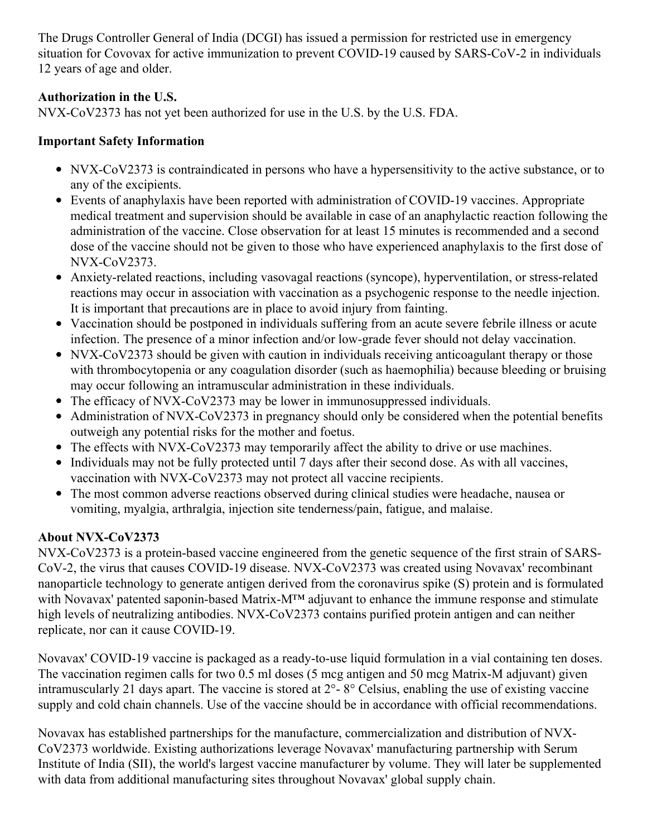The Drugs Controller General of India (DCGI) has issued a permission for restricted use in emergency situation for Covovax for active immunization to prevent COVID-19 caused by SARS-CoV-2 in individuals 12 years of age and older.

# **Authorization in the U.S.**

NVX-CoV2373 has not yet been authorized for use in the U.S. by the U.S. FDA.

# **Important Safety Information**

- NVX-CoV2373 is contraindicated in persons who have a hypersensitivity to the active substance, or to any of the excipients.
- Events of anaphylaxis have been reported with administration of COVID-19 vaccines. Appropriate medical treatment and supervision should be available in case of an anaphylactic reaction following the administration of the vaccine. Close observation for at least 15 minutes is recommended and a second dose of the vaccine should not be given to those who have experienced anaphylaxis to the first dose of NVX-CoV2373.
- Anxiety-related reactions, including vasovagal reactions (syncope), hyperventilation, or stress-related reactions may occur in association with vaccination as a psychogenic response to the needle injection. It is important that precautions are in place to avoid injury from fainting.
- Vaccination should be postponed in individuals suffering from an acute severe febrile illness or acute infection. The presence of a minor infection and/or low-grade fever should not delay vaccination.
- NVX-CoV2373 should be given with caution in individuals receiving anticoagulant therapy or those with thrombocytopenia or any coagulation disorder (such as haemophilia) because bleeding or bruising may occur following an intramuscular administration in these individuals.
- The efficacy of NVX-CoV2373 may be lower in immunosuppressed individuals.
- Administration of NVX-CoV2373 in pregnancy should only be considered when the potential benefits outweigh any potential risks for the mother and foetus.
- The effects with NVX-CoV2373 may temporarily affect the ability to drive or use machines.
- Individuals may not be fully protected until 7 days after their second dose. As with all vaccines, vaccination with NVX-CoV2373 may not protect all vaccine recipients.
- The most common adverse reactions observed during clinical studies were headache, nausea or vomiting, myalgia, arthralgia, injection site tenderness/pain, fatigue, and malaise.

# **About NVX-CoV2373**

NVX-CoV2373 is a protein-based vaccine engineered from the genetic sequence of the first strain of SARS-CoV-2, the virus that causes COVID-19 disease. NVX-CoV2373 was created using Novavax' recombinant nanoparticle technology to generate antigen derived from the coronavirus spike (S) protein and is formulated with Novavax' patented saponin-based Matrix-M™ adjuvant to enhance the immune response and stimulate high levels of neutralizing antibodies. NVX-CoV2373 contains purified protein antigen and can neither replicate, nor can it cause COVID-19.

Novavax' COVID-19 vaccine is packaged as a ready-to-use liquid formulation in a vial containing ten doses. The vaccination regimen calls for two 0.5 ml doses (5 mcg antigen and 50 mcg Matrix-M adjuvant) given intramuscularly 21 days apart. The vaccine is stored at 2°- 8° Celsius, enabling the use of existing vaccine supply and cold chain channels. Use of the vaccine should be in accordance with official recommendations.

Novavax has established partnerships for the manufacture, commercialization and distribution of NVX-CoV2373 worldwide. Existing authorizations leverage Novavax' manufacturing partnership with Serum Institute of India (SII), the world's largest vaccine manufacturer by volume. They will later be supplemented with data from additional manufacturing sites throughout Novavax' global supply chain.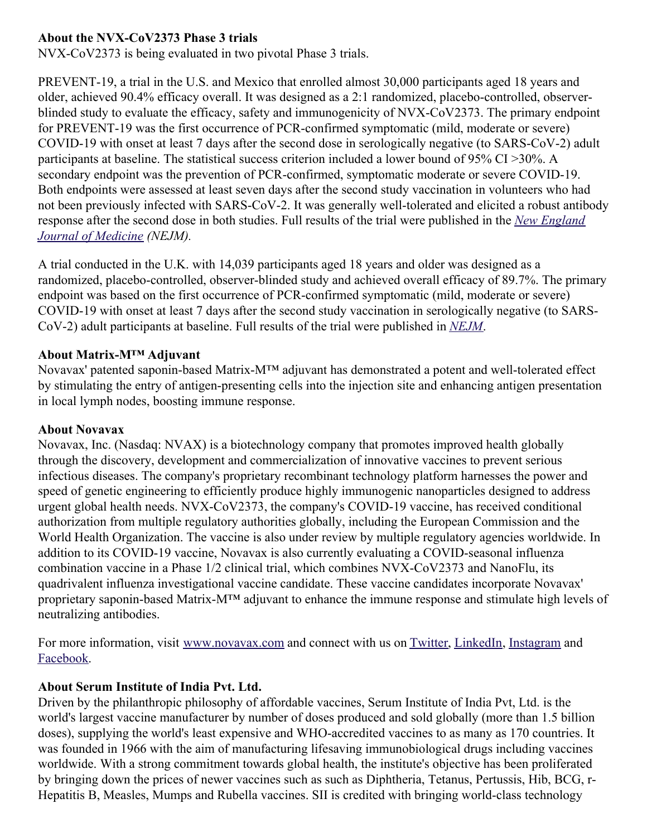## **About the NVX-CoV2373 Phase 3 trials**

NVX-CoV2373 is being evaluated in two pivotal Phase 3 trials.

PREVENT-19, a trial in the U.S. and Mexico that enrolled almost 30,000 participants aged 18 years and older, achieved 90.4% efficacy overall. It was designed as a 2:1 randomized, placebo-controlled, observerblinded study to evaluate the efficacy, safety and immunogenicity of NVX-CoV2373. The primary endpoint for PREVENT-19 was the first occurrence of PCR-confirmed symptomatic (mild, moderate or severe) COVID-19 with onset at least 7 days after the second dose in serologically negative (to SARS-CoV-2) adult participants at baseline. The statistical success criterion included a lower bound of 95% CI >30%. A secondary endpoint was the prevention of PCR-confirmed, symptomatic moderate or severe COVID-19. Both endpoints were assessed at least seven days after the second study vaccination in volunteers who had not been previously infected with SARS-CoV-2. It was generally well-tolerated and elicited a robust antibody response after the second dose in both studies. Full results of the trial were [published](https://c212.net/c/link/?t=0&l=en&o=3481047-1&h=4064552863&u=https%3A%2F%2Fc212.net%2Fc%2Flink%2F%3Ft%3D0%26l%3Den%26o%3D3440781-1%26h%3D467849857%26u%3Dhttps%253A%252F%252Fwww.nejm.org%252Fdoi%252Ffull%252F10.1056%252FNEJMoa2116185%253Fquery%253Dfeatured_home%26a%3DNew%2BEngland%2BJournal%2Bof%2BMedicine&a=New+England+Journal+of+Medicine) in the *New England Journal of Medicine (NEJM).*

A trial conducted in the U.K. with 14,039 participants aged 18 years and older was designed as a randomized, placebo-controlled, observer-blinded study and achieved overall efficacy of 89.7%. The primary endpoint was based on the first occurrence of PCR-confirmed symptomatic (mild, moderate or severe) COVID-19 with onset at least 7 days after the second study vaccination in serologically negative (to SARS-CoV-2) adult participants at baseline. Full results of the trial were published in *[NEJM](https://c212.net/c/link/?t=0&l=en&o=3481047-1&h=298748608&u=https%3A%2F%2Fc212.net%2Fc%2Flink%2F%3Ft%3D0%26l%3Den%26o%3D3440781-1%26h%3D3617137863%26u%3Dhttps%253A%252F%252Fwww.nejm.org%252Fdoi%252Ffull%252F10.1056%252FNEJMoa2107659%26a%3DNEJM&a=NEJM)*.

#### **About Matrix-M™ Adjuvant**

Novavax' patented saponin-based Matrix-M™ adjuvant has demonstrated a potent and well-tolerated effect by stimulating the entry of antigen-presenting cells into the injection site and enhancing antigen presentation in local lymph nodes, boosting immune response.

#### **About Novavax**

Novavax, Inc. (Nasdaq: NVAX) is a biotechnology company that promotes improved health globally through the discovery, development and commercialization of innovative vaccines to prevent serious infectious diseases. The company's proprietary recombinant technology platform harnesses the power and speed of genetic engineering to efficiently produce highly immunogenic nanoparticles designed to address urgent global health needs. NVX-CoV2373, the company's COVID-19 vaccine, has received conditional authorization from multiple regulatory authorities globally, including the European Commission and the World Health Organization. The vaccine is also under review by multiple regulatory agencies worldwide. In addition to its COVID-19 vaccine, Novavax is also currently evaluating a COVID-seasonal influenza combination vaccine in a Phase 1/2 clinical trial, which combines NVX-CoV2373 and NanoFlu, its quadrivalent influenza investigational vaccine candidate. These vaccine candidates incorporate Novavax' proprietary saponin-based Matrix-M™ adjuvant to enhance the immune response and stimulate high levels of neutralizing antibodies.

For more information, visit [www.novavax.com](https://c212.net/c/link/?t=0&l=en&o=3481047-1&h=1265536959&u=http%3A%2F%2Fwww.novavax.com%2F&a=www.novavax.com) and connect with us on [Twitter](https://c212.net/c/link/?t=0&l=en&o=3481047-1&h=3124045176&u=https%3A%2F%2Fc212.net%2Fc%2Flink%2F%3Ft%3D0%26l%3Den%26o%3D3399869-1%26h%3D2040794221%26u%3Dhttps%253A%252F%252Fc212.net%252Fc%252Flink%252F%253Ft%253D0%2526l%253Den%2526o%253D3260461-1%2526h%253D1316526774%2526u%253Dhttps%25253A%25252F%25252Fc212.net%25252Fc%25252Flink%25252F%25253Ft%25253D0%252526l%25253Den%252526o%25253D3158017-1%252526h%25253D500821283%252526u%25253Dhttps%2525253A%2525252F%2525252Ftwitter.com%2525252FNovavax%252526a%25253DTwitter%2526a%253DTwitter%26a%3DTwitter&a=Twitter), [LinkedIn](https://c212.net/c/link/?t=0&l=en&o=3481047-1&h=1948372359&u=https%3A%2F%2Fc212.net%2Fc%2Flink%2F%3Ft%3D0%26l%3Den%26o%3D3399869-1%26h%3D27315898%26u%3Dhttps%253A%252F%252Fc212.net%252Fc%252Flink%252F%253Ft%253D0%2526l%253Den%2526o%253D3260461-1%2526h%253D1508558197%2526u%253Dhttps%25253A%25252F%25252Fc212.net%25252Fc%25252Flink%25252F%25253Ft%25253D0%252526l%25253Den%252526o%25253D3158017-1%252526h%25253D3702938248%252526u%25253Dhttps%2525253A%2525252F%2525252Fwww.linkedin.com%2525252Fcompany%2525252Fnovavax%2525252F%252526a%25253DLinkedIn%2526a%253DLinkedIn%26a%3DLinkedIn&a=LinkedIn), [Instagram](https://c212.net/c/link/?t=0&l=en&o=3481047-1&h=613462772&u=https%3A%2F%2Fc212.net%2Fc%2Flink%2F%3Ft%3D0%26l%3Den%26o%3D3399869-1%26h%3D2634683834%26u%3Dhttps%253A%252F%252Fc212.net%252Fc%252Flink%252F%253Ft%253D0%2526l%253Den%2526o%253D3367039-1%2526h%253D3348182013%2526u%253Dhttps%25253A%25252F%25252Fwww.instagram.com%25252Fnovavax%25252F%2526a%253DInstagram%26a%3DInstagram&a=Instagram) and [Facebook](https://c212.net/c/link/?t=0&l=en&o=3481047-1&h=843636805&u=https%3A%2F%2Fc212.net%2Fc%2Flink%2F%3Ft%3D0%26l%3Den%26o%3D3399869-1%26h%3D1555903536%26u%3Dhttps%253A%252F%252Fwww.facebook.com%252FNovavax%252F%26a%3DFacebook&a=Facebook).

#### **About Serum Institute of India Pvt. Ltd.**

Driven by the philanthropic philosophy of affordable vaccines, Serum Institute of India Pvt, Ltd. is the world's largest vaccine manufacturer by number of doses produced and sold globally (more than 1.5 billion doses), supplying the world's least expensive and WHO-accredited vaccines to as many as 170 countries. It was founded in 1966 with the aim of manufacturing lifesaving immunobiological drugs including vaccines worldwide. With a strong commitment towards global health, the institute's objective has been proliferated by bringing down the prices of newer vaccines such as such as Diphtheria, Tetanus, Pertussis, Hib, BCG, r-Hepatitis B, Measles, Mumps and Rubella vaccines. SII is credited with bringing world-class technology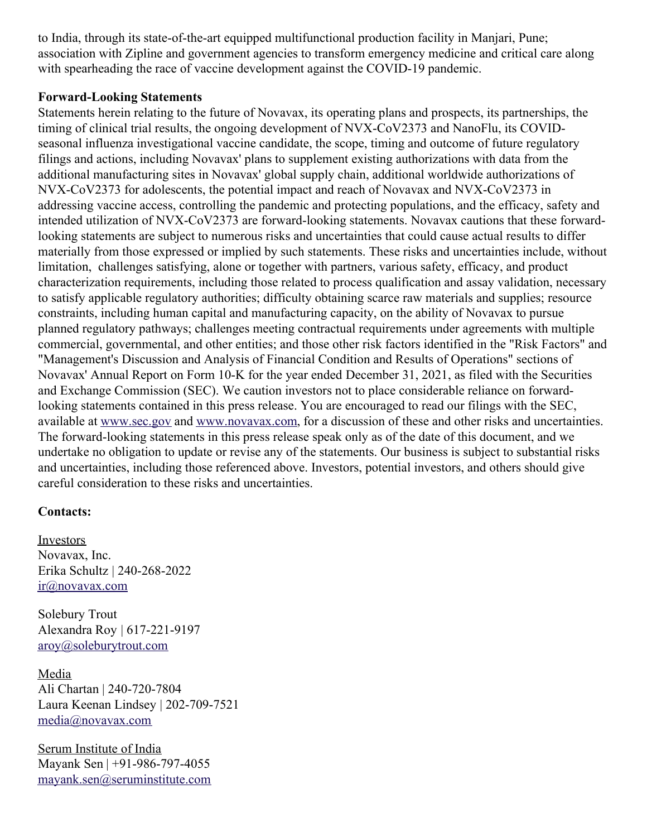to India, through its state-of-the-art equipped multifunctional production facility in Manjari, Pune; association with Zipline and government agencies to transform emergency medicine and critical care along with spearheading the race of vaccine development against the COVID-19 pandemic.

#### **Forward-Looking Statements**

Statements herein relating to the future of Novavax, its operating plans and prospects, its partnerships, the timing of clinical trial results, the ongoing development of NVX-CoV2373 and NanoFlu, its COVIDseasonal influenza investigational vaccine candidate, the scope, timing and outcome of future regulatory filings and actions, including Novavax' plans to supplement existing authorizations with data from the additional manufacturing sites in Novavax' global supply chain, additional worldwide authorizations of NVX-CoV2373 for adolescents, the potential impact and reach of Novavax and NVX-CoV2373 in addressing vaccine access, controlling the pandemic and protecting populations, and the efficacy, safety and intended utilization of NVX-CoV2373 are forward-looking statements. Novavax cautions that these forwardlooking statements are subject to numerous risks and uncertainties that could cause actual results to differ materially from those expressed or implied by such statements. These risks and uncertainties include, without limitation, challenges satisfying, alone or together with partners, various safety, efficacy, and product characterization requirements, including those related to process qualification and assay validation, necessary to satisfy applicable regulatory authorities; difficulty obtaining scarce raw materials and supplies; resource constraints, including human capital and manufacturing capacity, on the ability of Novavax to pursue planned regulatory pathways; challenges meeting contractual requirements under agreements with multiple commercial, governmental, and other entities; and those other risk factors identified in the "Risk Factors" and "Management's Discussion and Analysis of Financial Condition and Results of Operations" sections of Novavax' Annual Report on Form 10-K for the year ended December 31, 2021, as filed with the Securities and Exchange Commission (SEC). We caution investors not to place considerable reliance on forwardlooking statements contained in this press release. You are encouraged to read our filings with the SEC, available at [www.sec.gov](https://c212.net/c/link/?t=0&l=en&o=3481047-1&h=1314181935&u=http%3A%2F%2Fwww.sec.gov%2F&a=www.sec.gov) and [www.novavax.com](https://c212.net/c/link/?t=0&l=en&o=3481047-1&h=1265536959&u=http%3A%2F%2Fwww.novavax.com%2F&a=www.novavax.com), for a discussion of these and other risks and uncertainties. The forward-looking statements in this press release speak only as of the date of this document, and we undertake no obligation to update or revise any of the statements. Our business is subject to substantial risks and uncertainties, including those referenced above. Investors, potential investors, and others should give careful consideration to these risks and uncertainties.

#### **Contacts:**

**Investors** Novavax, Inc. Erika Schultz | 240-268-2022 [ir@novavax.com](mailto:ir@novavax.com)

Solebury Trout Alexandra Roy | 617-221-9197 [aroy@soleburytrout.com](mailto:aroy@soleburytrout.com)

Media Ali Chartan | 240-720-7804 Laura Keenan Lindsey | 202-709-7521 [media@novavax.com](mailto:media@novavax.com)

Serum Institute of India Mayank Sen | +91-986-797-4055 [mayank.sen@seruminstitute.com](mailto:mayank.sen@seruminstitute.com)